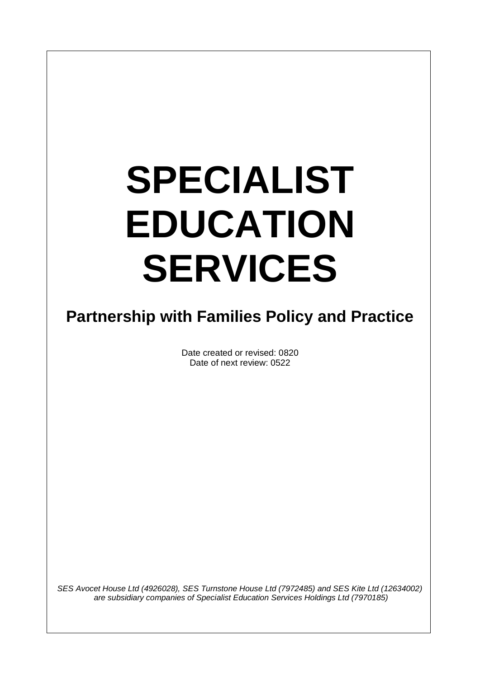# **SPECIALIST EDUCATION SERVICES**

# **Partnership with Families Policy and Practice**

Date created or revised: 0820 Date of next review: 0522

*SES Avocet House Ltd (4926028), SES Turnstone House Ltd (7972485) and SES Kite Ltd (12634002) are subsidiary companies of Specialist Education Services Holdings Ltd (7970185)*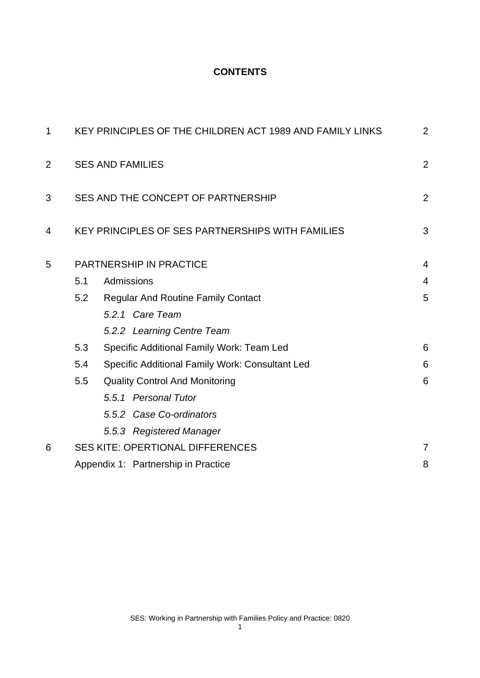# **CONTENTS**

| $\mathbf 1$    | KEY PRINCIPLES OF THE CHILDREN ACT 1989 AND FAMILY LINKS |                                                  |                |
|----------------|----------------------------------------------------------|--------------------------------------------------|----------------|
| $\overline{2}$ | <b>SES AND FAMILIES</b>                                  |                                                  | $\overline{2}$ |
| 3              | SES AND THE CONCEPT OF PARTNERSHIP                       |                                                  | $\overline{2}$ |
| 4              |                                                          | KEY PRINCIPLES OF SES PARTNERSHIPS WITH FAMILIES | 3              |
| 5              | <b>PARTNERSHIP IN PRACTICE</b>                           |                                                  | $\overline{4}$ |
|                | 5.1                                                      | Admissions                                       | $\overline{4}$ |
|                | 5.2                                                      | <b>Regular And Routine Family Contact</b>        | 5              |
|                |                                                          | 5.2.1 Care Team                                  |                |
|                |                                                          | 5.2.2 Learning Centre Team                       |                |
|                | 5.3                                                      | Specific Additional Family Work: Team Led        | 6              |
|                | 5.4                                                      | Specific Additional Family Work: Consultant Led  | 6              |
|                | 5.5                                                      | <b>Quality Control And Monitoring</b>            | 6              |
|                |                                                          | 5.5.1 Personal Tutor                             |                |
|                |                                                          | 5.5.2 Case Co-ordinators                         |                |
|                |                                                          | 5.5.3 Registered Manager                         |                |
| 6              | <b>SES KITE: OPERTIONAL DIFFERENCES</b>                  |                                                  | $\overline{7}$ |
|                |                                                          | Appendix 1: Partnership in Practice              | 8              |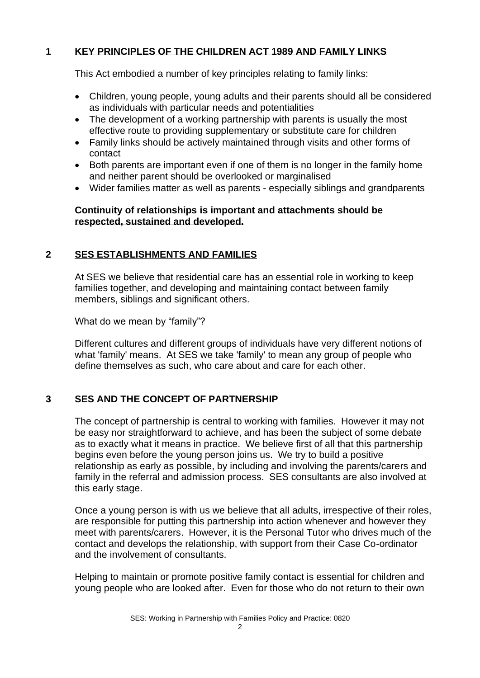### **1 KEY PRINCIPLES OF THE CHILDREN ACT 1989 AND FAMILY LINKS**

This Act embodied a number of key principles relating to family links:

- Children, young people, young adults and their parents should all be considered as individuals with particular needs and potentialities
- The development of a working partnership with parents is usually the most effective route to providing supplementary or substitute care for children
- Family links should be actively maintained through visits and other forms of contact
- Both parents are important even if one of them is no longer in the family home and neither parent should be overlooked or marginalised
- Wider families matter as well as parents especially siblings and grandparents

#### **Continuity of relationships is important and attachments should be respected, sustained and developed.**

## **2 SES ESTABLISHMENTS AND FAMILIES**

At SES we believe that residential care has an essential role in working to keep families together, and developing and maintaining contact between family members, siblings and significant others.

What do we mean by "family"?

Different cultures and different groups of individuals have very different notions of what 'family' means. At SES we take 'family' to mean any group of people who define themselves as such, who care about and care for each other.

#### **3 SES AND THE CONCEPT OF PARTNERSHIP**

The concept of partnership is central to working with families. However it may not be easy nor straightforward to achieve, and has been the subject of some debate as to exactly what it means in practice. We believe first of all that this partnership begins even before the young person joins us. We try to build a positive relationship as early as possible, by including and involving the parents/carers and family in the referral and admission process. SES consultants are also involved at this early stage.

Once a young person is with us we believe that all adults, irrespective of their roles, are responsible for putting this partnership into action whenever and however they meet with parents/carers. However, it is the Personal Tutor who drives much of the contact and develops the relationship, with support from their Case Co-ordinator and the involvement of consultants.

Helping to maintain or promote positive family contact is essential for children and young people who are looked after. Even for those who do not return to their own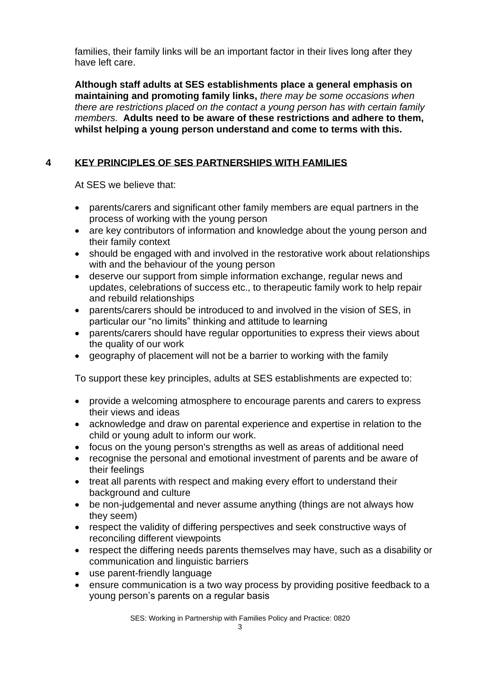families, their family links will be an important factor in their lives long after they have left care.

**Although staff adults at SES establishments place a general emphasis on maintaining and promoting family links,** *there may be some occasions when there are restrictions placed on the contact a young person has with certain family members.* **Adults need to be aware of these restrictions and adhere to them, whilst helping a young person understand and come to terms with this.**

# **4 KEY PRINCIPLES OF SES PARTNERSHIPS WITH FAMILIES**

At SES we believe that:

- parents/carers and significant other family members are equal partners in the process of working with the young person
- are key contributors of information and knowledge about the young person and their family context
- should be engaged with and involved in the restorative work about relationships with and the behaviour of the young person
- deserve our support from simple information exchange, regular news and updates, celebrations of success etc., to therapeutic family work to help repair and rebuild relationships
- parents/carers should be introduced to and involved in the vision of SES, in particular our "no limits" thinking and attitude to learning
- parents/carers should have regular opportunities to express their views about the quality of our work
- geography of placement will not be a barrier to working with the family

To support these key principles, adults at SES establishments are expected to:

- provide a welcoming atmosphere to encourage parents and carers to express their views and ideas
- acknowledge and draw on parental experience and expertise in relation to the child or young adult to inform our work.
- focus on the young person's strengths as well as areas of additional need
- recognise the personal and emotional investment of parents and be aware of their feelings
- treat all parents with respect and making every effort to understand their background and culture
- be non-judgemental and never assume anything (things are not always how they seem)
- respect the validity of differing perspectives and seek constructive ways of reconciling different viewpoints
- respect the differing needs parents themselves may have, such as a disability or communication and linguistic barriers
- use parent-friendly language
- ensure communication is a two way process by providing positive feedback to a young person's parents on a regular basis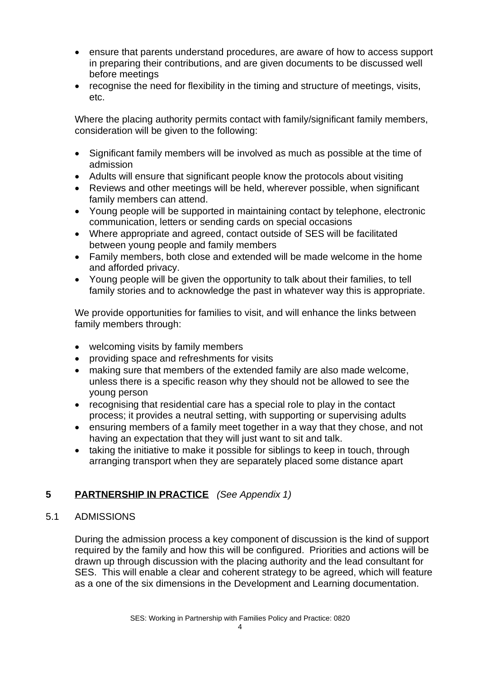- ensure that parents understand procedures, are aware of how to access support in preparing their contributions, and are given documents to be discussed well before meetings
- recognise the need for flexibility in the timing and structure of meetings, visits, etc.

Where the placing authority permits contact with family/significant family members, consideration will be given to the following:

- Significant family members will be involved as much as possible at the time of admission
- Adults will ensure that significant people know the protocols about visiting
- Reviews and other meetings will be held, wherever possible, when significant family members can attend.
- Young people will be supported in maintaining contact by telephone, electronic communication, letters or sending cards on special occasions
- Where appropriate and agreed, contact outside of SES will be facilitated between young people and family members
- Family members, both close and extended will be made welcome in the home and afforded privacy.
- Young people will be given the opportunity to talk about their families, to tell family stories and to acknowledge the past in whatever way this is appropriate.

We provide opportunities for families to visit, and will enhance the links between family members through:

- welcoming visits by family members
- providing space and refreshments for visits
- making sure that members of the extended family are also made welcome, unless there is a specific reason why they should not be allowed to see the young person
- recognising that residential care has a special role to play in the contact process; it provides a neutral setting, with supporting or supervising adults
- ensuring members of a family meet together in a way that they chose, and not having an expectation that they will just want to sit and talk.
- taking the initiative to make it possible for siblings to keep in touch, through arranging transport when they are separately placed some distance apart

# **5 PARTNERSHIP IN PRACTICE** *(See Appendix 1)*

#### 5.1 ADMISSIONS

During the admission process a key component of discussion is the kind of support required by the family and how this will be configured. Priorities and actions will be drawn up through discussion with the placing authority and the lead consultant for SES. This will enable a clear and coherent strategy to be agreed, which will feature as a one of the six dimensions in the Development and Learning documentation.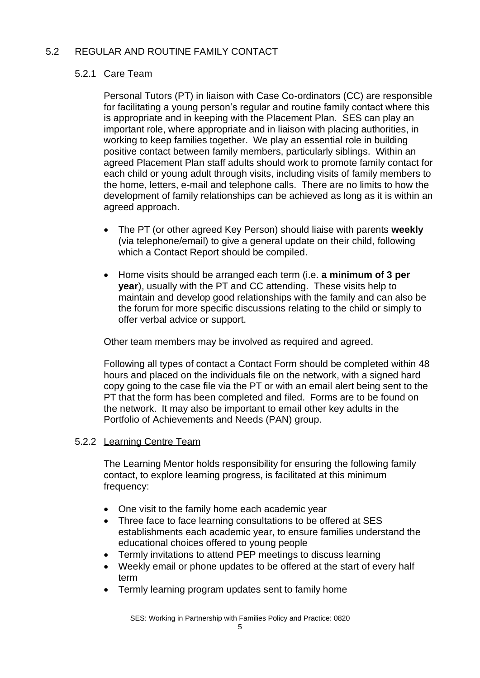# 5.2 REGULAR AND ROUTINE FAMILY CONTACT

# 5.2.1 Care Team

Personal Tutors (PT) in liaison with Case Co-ordinators (CC) are responsible for facilitating a young person's regular and routine family contact where this is appropriate and in keeping with the Placement Plan. SES can play an important role, where appropriate and in liaison with placing authorities, in working to keep families together. We play an essential role in building positive contact between family members, particularly siblings. Within an agreed Placement Plan staff adults should work to promote family contact for each child or young adult through visits, including visits of family members to the home, letters, e-mail and telephone calls. There are no limits to how the development of family relationships can be achieved as long as it is within an agreed approach.

- The PT (or other agreed Key Person) should liaise with parents **weekly** (via telephone/email) to give a general update on their child, following which a Contact Report should be compiled.
- Home visits should be arranged each term (i.e. **a minimum of 3 per year**), usually with the PT and CC attending. These visits help to maintain and develop good relationships with the family and can also be the forum for more specific discussions relating to the child or simply to offer verbal advice or support.

Other team members may be involved as required and agreed.

Following all types of contact a Contact Form should be completed within 48 hours and placed on the individuals file on the network, with a signed hard copy going to the case file via the PT or with an email alert being sent to the PT that the form has been completed and filed. Forms are to be found on the network. It may also be important to email other key adults in the Portfolio of Achievements and Needs (PAN) group.

#### 5.2.2 Learning Centre Team

The Learning Mentor holds responsibility for ensuring the following family contact, to explore learning progress, is facilitated at this minimum frequency:

- One visit to the family home each academic year
- Three face to face learning consultations to be offered at SES establishments each academic year, to ensure families understand the educational choices offered to young people
- Termly invitations to attend PEP meetings to discuss learning
- Weekly email or phone updates to be offered at the start of every half term
- Termly learning program updates sent to family home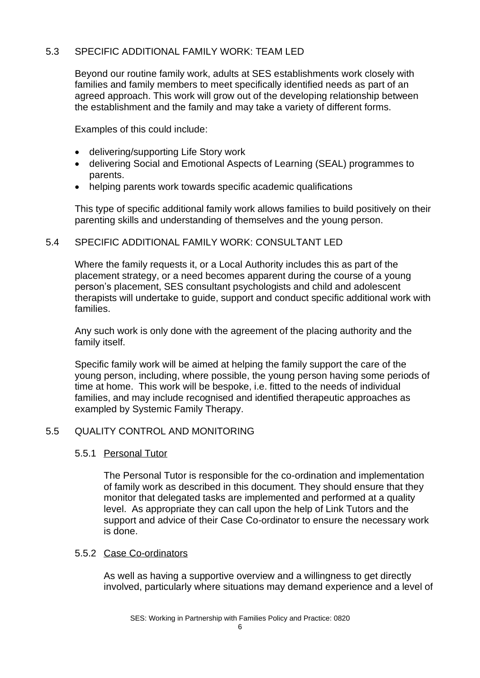## 5.3 SPECIFIC ADDITIONAL FAMILY WORK: TEAM LED

Beyond our routine family work, adults at SES establishments work closely with families and family members to meet specifically identified needs as part of an agreed approach. This work will grow out of the developing relationship between the establishment and the family and may take a variety of different forms.

Examples of this could include:

- delivering/supporting Life Story work
- delivering Social and Emotional Aspects of Learning (SEAL) programmes to parents.
- helping parents work towards specific academic qualifications

This type of specific additional family work allows families to build positively on their parenting skills and understanding of themselves and the young person.

#### 5.4 SPECIFIC ADDITIONAL FAMILY WORK: CONSULTANT LED

Where the family requests it, or a Local Authority includes this as part of the placement strategy, or a need becomes apparent during the course of a young person's placement, SES consultant psychologists and child and adolescent therapists will undertake to guide, support and conduct specific additional work with families.

Any such work is only done with the agreement of the placing authority and the family itself.

Specific family work will be aimed at helping the family support the care of the young person, including, where possible, the young person having some periods of time at home. This work will be bespoke, i.e. fitted to the needs of individual families, and may include recognised and identified therapeutic approaches as exampled by Systemic Family Therapy.

# 5.5 QUALITY CONTROL AND MONITORING

#### 5.5.1 Personal Tutor

The Personal Tutor is responsible for the co-ordination and implementation of family work as described in this document. They should ensure that they monitor that delegated tasks are implemented and performed at a quality level. As appropriate they can call upon the help of Link Tutors and the support and advice of their Case Co-ordinator to ensure the necessary work is done.

#### 5.5.2 Case Co-ordinators

As well as having a supportive overview and a willingness to get directly involved, particularly where situations may demand experience and a level of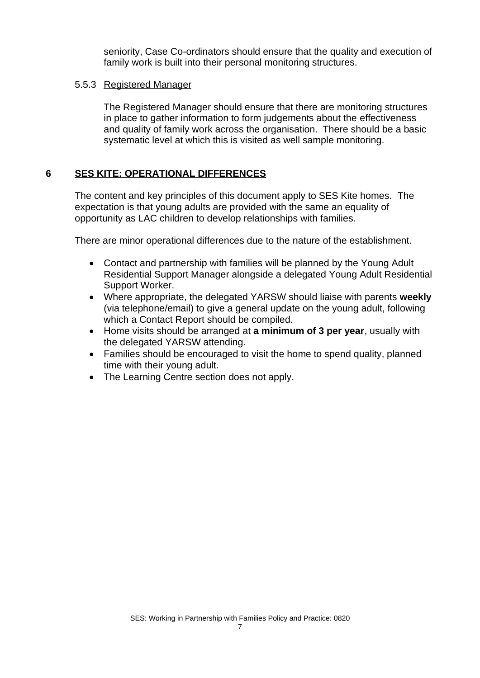seniority, Case Co-ordinators should ensure that the quality and execution of family work is built into their personal monitoring structures.

#### 5.5.3 Registered Manager

The Registered Manager should ensure that there are monitoring structures in place to gather information to form judgements about the effectiveness and quality of family work across the organisation. There should be a basic systematic level at which this is visited as well sample monitoring.

## **6 SES KITE: OPERATIONAL DIFFERENCES**

The content and key principles of this document apply to SES Kite homes. The expectation is that young adults are provided with the same an equality of opportunity as LAC children to develop relationships with families.

There are minor operational differences due to the nature of the establishment.

- Contact and partnership with families will be planned by the Young Adult Residential Support Manager alongside a delegated Young Adult Residential Support Worker.
- Where appropriate, the delegated YARSW should liaise with parents **weekly** (via telephone/email) to give a general update on the young adult, following which a Contact Report should be compiled.
- Home visits should be arranged at **a minimum of 3 per year**, usually with the delegated YARSW attending.
- Families should be encouraged to visit the home to spend quality, planned time with their young adult.
- The Learning Centre section does not apply.